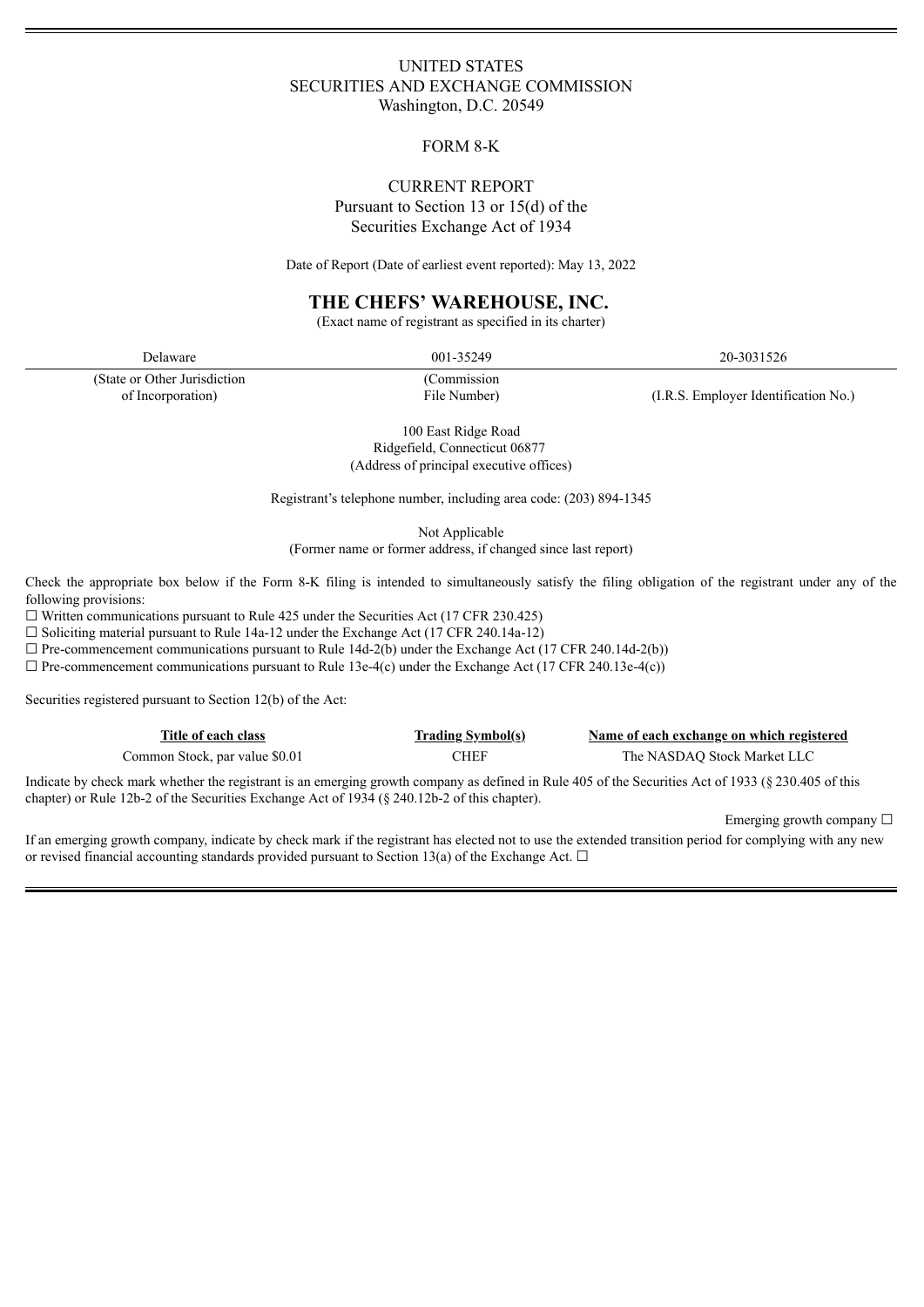## UNITED STATES SECURITIES AND EXCHANGE COMMISSION Washington, D.C. 20549

## FORM 8-K

## CURRENT REPORT Pursuant to Section 13 or 15(d) of the Securities Exchange Act of 1934

Date of Report (Date of earliest event reported): May 13, 2022

## **THE CHEFS' WAREHOUSE, INC.**

(Exact name of registrant as specified in its charter)

(State or Other Jurisdiction of Incorporation)

Delaware 20-3031526 20-3031526

(Commission File Number) (I.R.S. Employer Identification No.)

100 East Ridge Road Ridgefield, Connecticut 06877 (Address of principal executive offices)

Registrant's telephone number, including area code: (203) 894-1345

Not Applicable

(Former name or former address, if changed since last report)

Check the appropriate box below if the Form 8-K filing is intended to simultaneously satisfy the filing obligation of the registrant under any of the following provisions:

☐ Written communications pursuant to Rule 425 under the Securities Act (17 CFR 230.425)

 $\Box$  Soliciting material pursuant to Rule 14a-12 under the Exchange Act (17 CFR 240.14a-12)

 $\Box$  Pre-commencement communications pursuant to Rule 14d-2(b) under the Exchange Act (17 CFR 240.14d-2(b))

 $\Box$  Pre-commencement communications pursuant to Rule 13e-4(c) under the Exchange Act (17 CFR 240.13e-4(c))

Securities registered pursuant to Section 12(b) of the Act:

| Title of each class            | <b>Trading Symbol(s)</b> | Name of each exchange on which registered |
|--------------------------------|--------------------------|-------------------------------------------|
| Common Stock, par value \$0.01 | CHEF                     | The NASDAO Stock Market LLC               |

Indicate by check mark whether the registrant is an emerging growth company as defined in Rule 405 of the Securities Act of 1933 (§ 230.405 of this chapter) or Rule 12b-2 of the Securities Exchange Act of 1934 (§ 240.12b-2 of this chapter).

Emerging growth company  $\Box$ 

If an emerging growth company, indicate by check mark if the registrant has elected not to use the extended transition period for complying with any new or revised financial accounting standards provided pursuant to Section 13(a) of the Exchange Act.  $\Box$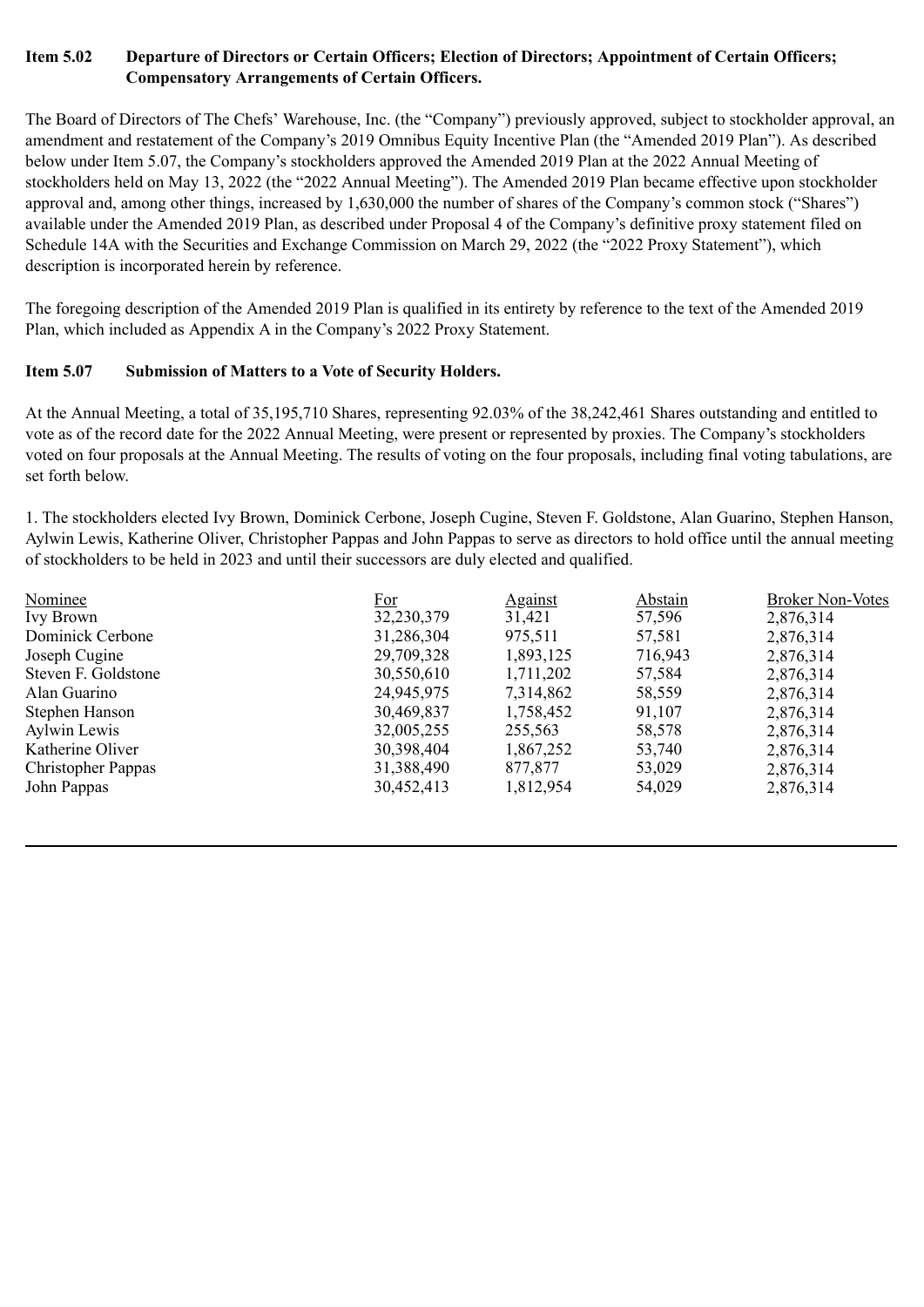## **Item 5.02 Departure of Directors or Certain Officers; Election of Directors; Appointment of Certain Officers; Compensatory Arrangements of Certain Officers.**

The Board of Directors of The Chefs' Warehouse, Inc. (the "Company") previously approved, subject to stockholder approval, an amendment and restatement of the Company's 2019 Omnibus Equity Incentive Plan (the "Amended 2019 Plan"). As described below under Item 5.07, the Company's stockholders approved the Amended 2019 Plan at the 2022 Annual Meeting of stockholders held on May 13, 2022 (the "2022 Annual Meeting"). The Amended 2019 Plan became effective upon stockholder approval and, among other things, increased by 1,630,000 the number of shares of the Company's common stock ("Shares") available under the Amended 2019 Plan, as described under Proposal 4 of the Company's definitive proxy statement filed on Schedule 14A with the Securities and Exchange Commission on March 29, 2022 (the "2022 Proxy Statement"), which description is incorporated herein by reference.

The foregoing description of the Amended 2019 Plan is qualified in its entirety by reference to the text of the Amended 2019 Plan, which included as Appendix A in the Company's 2022 Proxy Statement.

# **Item 5.07 Submission of Matters to a Vote of Security Holders.**

At the Annual Meeting, a total of 35,195,710 Shares, representing 92.03% of the 38,242,461 Shares outstanding and entitled to vote as of the record date for the 2022 Annual Meeting, were present or represented by proxies. The Company's stockholders voted on four proposals at the Annual Meeting. The results of voting on the four proposals, including final voting tabulations, are set forth below.

1. The stockholders elected Ivy Brown, Dominick Cerbone, Joseph Cugine, Steven F. Goldstone, Alan Guarino, Stephen Hanson, Aylwin Lewis, Katherine Oliver, Christopher Pappas and John Pappas to serve as directors to hold office until the annual meeting of stockholders to be held in 2023 and until their successors are duly elected and qualified.

| Nominee                   | For        | <b>Against</b> | Abstain | <b>Broker Non-Votes</b> |
|---------------------------|------------|----------------|---------|-------------------------|
| <b>Ivy Brown</b>          | 32,230,379 | 31,421         | 57,596  | 2,876,314               |
| Dominick Cerbone          | 31,286,304 | 975,511        | 57,581  | 2,876,314               |
| Joseph Cugine             | 29,709,328 | 1,893,125      | 716,943 | 2,876,314               |
| Steven F. Goldstone       | 30,550,610 | 1,711,202      | 57,584  | 2,876,314               |
| Alan Guarino              | 24,945,975 | 7,314,862      | 58,559  | 2,876,314               |
| Stephen Hanson            | 30,469,837 | 1,758,452      | 91,107  | 2,876,314               |
| Aylwin Lewis              | 32,005,255 | 255,563        | 58,578  | 2,876,314               |
| Katherine Oliver          | 30,398,404 | 1,867,252      | 53,740  | 2,876,314               |
| <b>Christopher Pappas</b> | 31,388,490 | 877,877        | 53,029  | 2,876,314               |
| John Pappas               | 30,452,413 | 1,812,954      | 54,029  | 2,876,314               |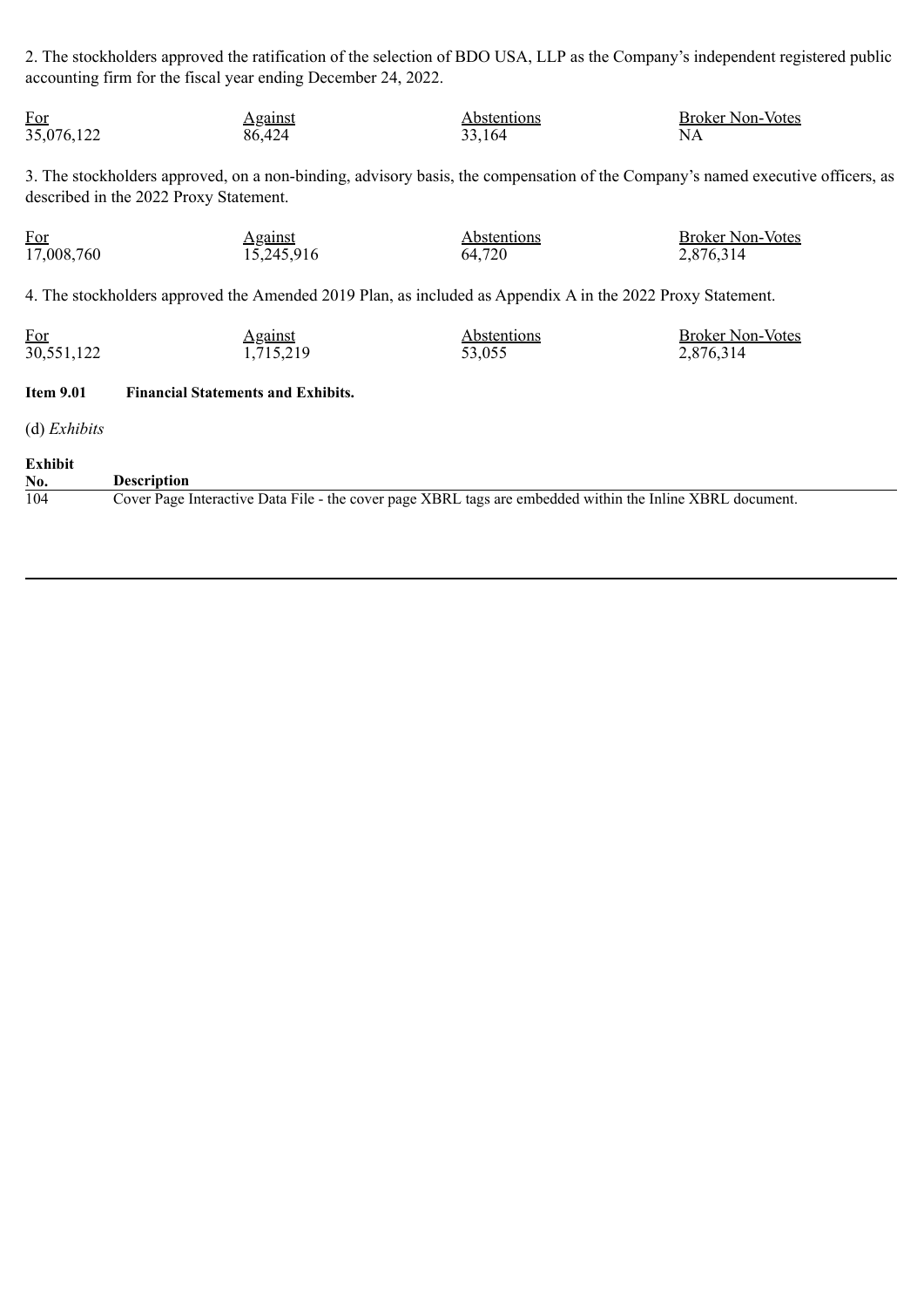2. The stockholders approved the ratification of the selection of BDO USA, LLP as the Company's independent registered public accounting firm for the fiscal year ending December 24, 2022.

| <u>For</u>            | <b>Against</b>                                                                                                                                                           | <b>Abstentions</b> | <b>Broker Non-Votes</b> |
|-----------------------|--------------------------------------------------------------------------------------------------------------------------------------------------------------------------|--------------------|-------------------------|
| 35,076,122            | 86,424                                                                                                                                                                   | 33,164             | NA                      |
|                       | 3. The stockholders approved, on a non-binding, advisory basis, the compensation of the Company's named executive officers, as<br>described in the 2022 Proxy Statement. |                    |                         |
| For                   | Against                                                                                                                                                                  | <b>Abstentions</b> | <b>Broker Non-Votes</b> |
| 17,008,760            | 15,245,916                                                                                                                                                               | 64,720             | 2,876,314               |
|                       | 4. The stockholders approved the Amended 2019 Plan, as included as Appendix A in the 2022 Proxy Statement.                                                               |                    |                         |
| $For$                 | <b>Against</b>                                                                                                                                                           | <b>Abstentions</b> | <b>Broker Non-Votes</b> |
| 30,551,122            | 1,715,219                                                                                                                                                                | 53,055             | 2,876,314               |
| <b>Item 9.01</b>      | <b>Financial Statements and Exhibits.</b>                                                                                                                                |                    |                         |
| $(d)$ <i>Exhibits</i> |                                                                                                                                                                          |                    |                         |
| <b>Exhibit</b>        |                                                                                                                                                                          |                    |                         |
| No.                   | <b>Description</b>                                                                                                                                                       |                    |                         |
| 104                   | Cover Page Interactive Data File - the cover page XBRL tags are embedded within the Inline XBRL document.                                                                |                    |                         |